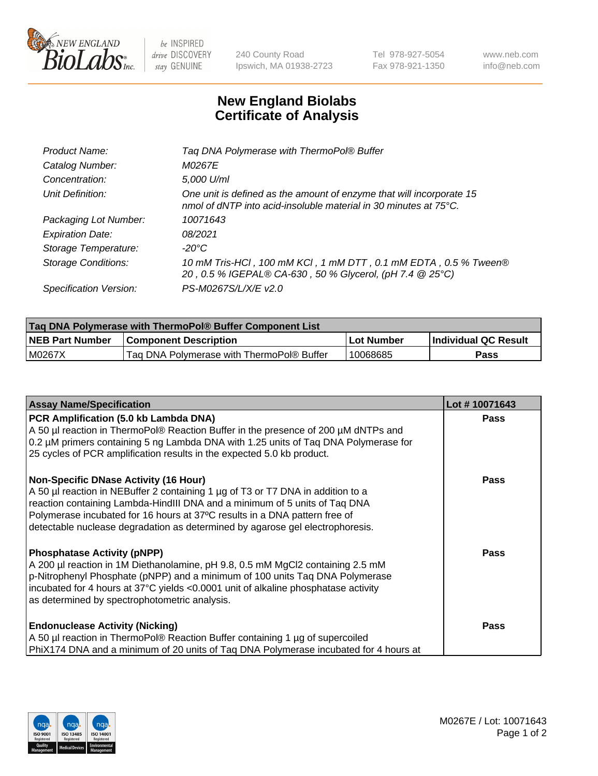

 $be$  INSPIRED drive DISCOVERY stay GENUINE

240 County Road Ipswich, MA 01938-2723 Tel 978-927-5054 Fax 978-921-1350 www.neb.com info@neb.com

## **New England Biolabs Certificate of Analysis**

| Product Name:              | Tag DNA Polymerase with ThermoPol® Buffer                                                                                                |
|----------------------------|------------------------------------------------------------------------------------------------------------------------------------------|
| Catalog Number:            | M0267E                                                                                                                                   |
| Concentration:             | 5,000 U/ml                                                                                                                               |
| Unit Definition:           | One unit is defined as the amount of enzyme that will incorporate 15<br>nmol of dNTP into acid-insoluble material in 30 minutes at 75°C. |
| Packaging Lot Number:      | 10071643                                                                                                                                 |
| <b>Expiration Date:</b>    | 08/2021                                                                                                                                  |
| Storage Temperature:       | $-20^{\circ}$ C                                                                                                                          |
| <b>Storage Conditions:</b> | 10 mM Tris-HCl, 100 mM KCl, 1 mM DTT, 0.1 mM EDTA, 0.5 % Tween®<br>20, 0.5 % IGEPAL® CA-630, 50 % Glycerol, (pH 7.4 @ 25°C)              |
| Specification Version:     | PS-M0267S/L/X/E v2.0                                                                                                                     |

| Taq DNA Polymerase with ThermoPol® Buffer Component List |                                           |            |                      |  |
|----------------------------------------------------------|-------------------------------------------|------------|----------------------|--|
| <b>NEB Part Number</b>                                   | <b>Component Description</b>              | Lot Number | Individual QC Result |  |
| M0267X                                                   | Tag DNA Polymerase with ThermoPol® Buffer | 10068685   | Pass                 |  |

| <b>Assay Name/Specification</b>                                                                                                                                                                                                                                                                                                                                              | Lot #10071643 |
|------------------------------------------------------------------------------------------------------------------------------------------------------------------------------------------------------------------------------------------------------------------------------------------------------------------------------------------------------------------------------|---------------|
| PCR Amplification (5.0 kb Lambda DNA)<br>A 50 µl reaction in ThermoPol® Reaction Buffer in the presence of 200 µM dNTPs and<br>0.2 µM primers containing 5 ng Lambda DNA with 1.25 units of Taq DNA Polymerase for<br>25 cycles of PCR amplification results in the expected 5.0 kb product.                                                                                 | <b>Pass</b>   |
| <b>Non-Specific DNase Activity (16 Hour)</b><br>A 50 µl reaction in NEBuffer 2 containing 1 µg of T3 or T7 DNA in addition to a<br>reaction containing Lambda-HindIII DNA and a minimum of 5 units of Taq DNA<br>Polymerase incubated for 16 hours at 37°C results in a DNA pattern free of<br>detectable nuclease degradation as determined by agarose gel electrophoresis. | <b>Pass</b>   |
| <b>Phosphatase Activity (pNPP)</b><br>A 200 µl reaction in 1M Diethanolamine, pH 9.8, 0.5 mM MgCl2 containing 2.5 mM<br>p-Nitrophenyl Phosphate (pNPP) and a minimum of 100 units Taq DNA Polymerase<br>incubated for 4 hours at 37°C yields <0.0001 unit of alkaline phosphatase activity<br>as determined by spectrophotometric analysis.                                  | <b>Pass</b>   |
| <b>Endonuclease Activity (Nicking)</b><br>A 50 µl reaction in ThermoPol® Reaction Buffer containing 1 µg of supercoiled<br>PhiX174 DNA and a minimum of 20 units of Tag DNA Polymerase incubated for 4 hours at                                                                                                                                                              | <b>Pass</b>   |